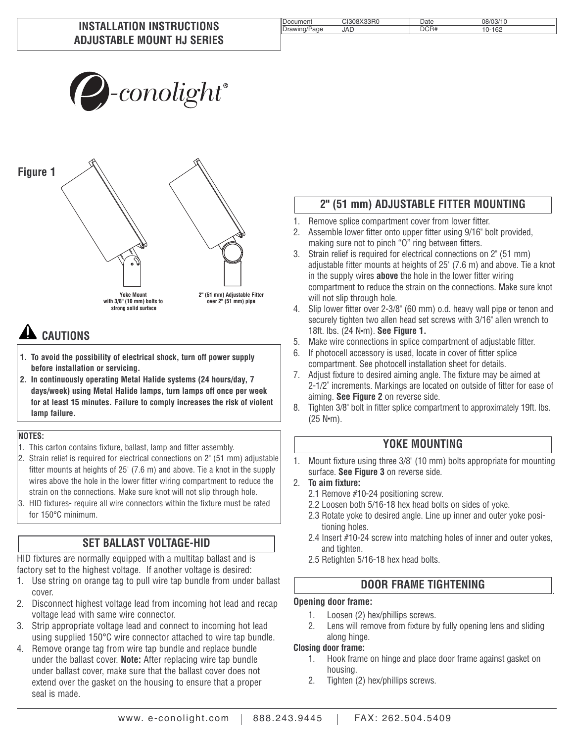#### **INSTALLATION INSTRUCTIONS ADJUSTABLE MOUNT HJ SERIES**

# $\sum$ -conolight $^*$

**Yoke Mount with 3/8" (10 mm) bolts to strong solid surface 2" (51 mm) Adjustable Fitter over 2" (51 mm) pipe Figure 1**

# **A** CAUTIONS

- **1. To avoid the possibility of electrical shock, turn off power supply before installation or servicing.**
- **2. In continuously operating Metal Halide systems (24 hours/day, 7 days/week) using Metal Halide lamps, turn lamps off once per week for at least 15 minutes. Failure to comply increases the risk of violent lamp failure.**

#### **NOTES:**

- 1. This carton contains fixture, ballast, lamp and fitter assembly.
- 2. Strain relief is required for electrical connections on 2" (51 mm) adjustable fitter mounts at heights of 25' (7.6 m) and above. Tie a knot in the supply wires above the hole in the lower fitter wiring compartment to reduce the strain on the connections. Make sure knot will not slip through hole.
- 3. HID fixtures- require all wire connectors within the fixture must be rated for 150°C minimum.

# **SET BALLAST VOLTAGE-HID**

HID fixtures are normally equipped with a multitap ballast and is factory set to the highest voltage. If another voltage is desired:

- 1. Use string on orange tag to pull wire tap bundle from under ballast cover.
- 2. Disconnect highest voltage lead from incoming hot lead and recap voltage lead with same wire connector.
- 3. Strip appropriate voltage lead and connect to incoming hot lead using supplied 150°C wire connector attached to wire tap bundle.
- 4. Remove orange tag from wire tap bundle and replace bundle under the ballast cover. **Note:** After replacing wire tap bundle under ballast cover, make sure that the ballast cover does not extend over the gasket on the housing to ensure that a proper seal is made.

# **2" (51 mm) ADJUSTABLE FITTER MOUNTING**

- 1. Remove splice compartment cover from lower fitter.
- 2. Assemble lower fitter onto upper fitter using 9/16" bolt provided, making sure not to pinch "O" ring between fitters.
- 3. Strain relief is required for electrical connections on 2" (51 mm) adjustable fitter mounts at heights of 25' (7.6 m) and above. Tie a knot in the supply wires **above** the hole in the lower fitter wiring compartment to reduce the strain on the connections. Make sure knot will not slip through hole.
- 4. Slip lower fitter over 2-3/8" (60 mm) o.d. heavy wall pipe or tenon and securely tighten two allen head set screws with 3/16" allen wrench to 18ft. lbs. (24 N● m). **See Figure 1.**
- 5. Make wire connections in splice compartment of adjustable fitter.
- 6. If photocell accessory is used, locate in cover of fitter splice compartment. See photocell installation sheet for details.
- 7. Adjust fixture to desired aiming angle. The fixture may be aimed at 2-1/2˚ increments. Markings are located on outside of fitter for ease of aiming. **See Figure 2** on reverse side.
- 8. Tighten 3/8" bolt in fitter splice compartment to approximately 19ft. lbs.  $(25 N·m)$ .

#### **YOKE MOUNTING**

- 1. Mount fixture using three 3/8" (10 mm) bolts appropriate for mounting surface. **See Figure 3** on reverse side.
- 2. **To aim fixture:**
	- 2.1 Remove #10-24 positioning screw.
	- 2.2 Loosen both 5/16-18 hex head bolts on sides of yoke.
	- 2.3 Rotate yoke to desired angle. Line up inner and outer yoke positioning holes.
	- 2.4 Insert #10-24 screw into matching holes of inner and outer yokes, and tighten.

.

2.5 Retighten 5/16-18 hex head bolts.

#### **DOOR FRAME TIGHTENING**

#### **Opening door frame:**

- 1. Loosen (2) hex/phillips screws.
- 2. Lens will remove from fixture by fully opening lens and sliding along hinge.

#### **Closing door frame:**

- 1. Hook frame on hinge and place door frame against gasket on housing.
- 2. Tighten (2) hex/phillips screws.